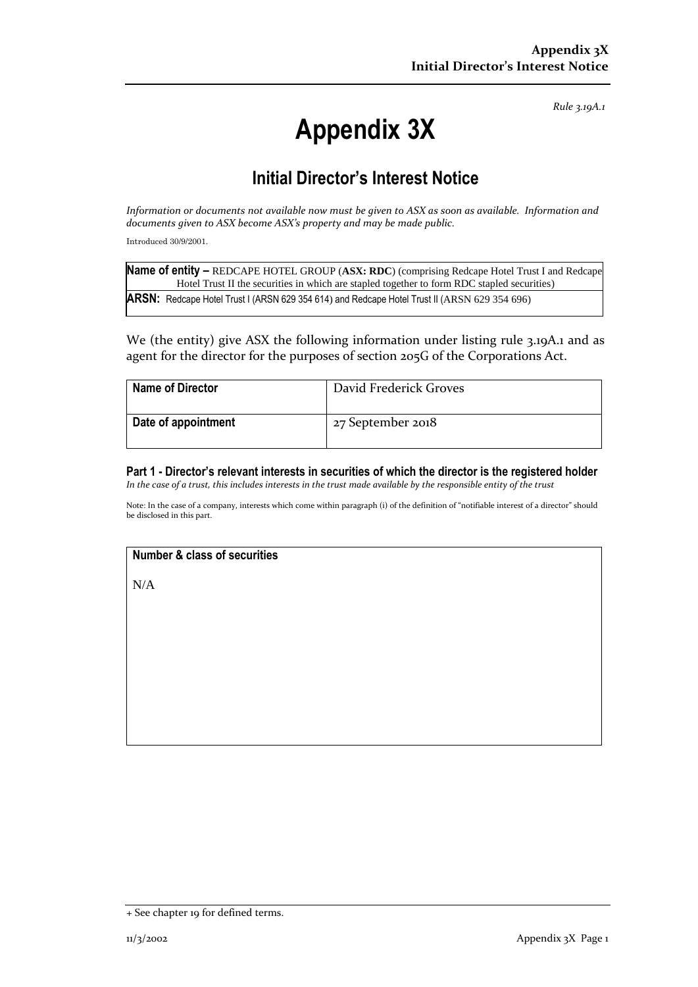*Rule 3.19A.1*

# **Appendix 3X**

## **Initial Director's Interest Notice**

*Information or documents not available now must be given to ASX as soon as available. Information and documents given to ASX become ASX's property and may be made public.*

Introduced 30/9/2001.

| Name of entity - REDCAPE HOTEL GROUP (ASX: RDC) (comprising Redcape Hotel Trust I and Redcape |
|-----------------------------------------------------------------------------------------------|
| Hotel Trust II the securities in which are stapled together to form RDC stapled securities)   |
| ARSN: Redcape Hotel Trust I (ARSN 629 354 614) and Redcape Hotel Trust II (ARSN 629 354 696)  |

We (the entity) give ASX the following information under listing rule 3.19A.1 and as agent for the director for the purposes of section 205G of the Corporations Act.

| <b>Name of Director</b> | David Frederick Groves |
|-------------------------|------------------------|
| Date of appointment     | 27 September 2018      |

**Part 1 - Director's relevant interests in securities of which the director is the registered holder** *In the case of a trust, this includes interests in the trust made available by the responsible entity of the trust*

Note: In the case of a company, interests which come within paragraph (i) of the definition of "notifiable interest of a director" should be disclosed in this part.

#### **Number & class of securities**

N/A

<sup>+</sup> See chapter 19 for defined terms.